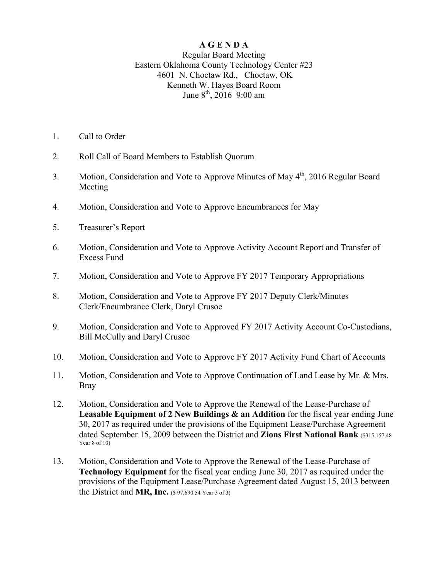## **A G E N D A**

## Regular Board Meeting Eastern Oklahoma County Technology Center #23 4601 N. Choctaw Rd., Choctaw, OK Kenneth W. Hayes Board Room June  $8^{th}$ , 2016 9:00 am

- 1. Call to Order
- 2. Roll Call of Board Members to Establish Quorum
- 3. Motion, Consideration and Vote to Approve Minutes of May 4<sup>th</sup>, 2016 Regular Board Meeting
- 4. Motion, Consideration and Vote to Approve Encumbrances for May
- 5. Treasurer's Report
- 6. Motion, Consideration and Vote to Approve Activity Account Report and Transfer of Excess Fund
- 7. Motion, Consideration and Vote to Approve FY 2017 Temporary Appropriations
- 8. Motion, Consideration and Vote to Approve FY 2017 Deputy Clerk/Minutes Clerk/Encumbrance Clerk, Daryl Crusoe
- 9. Motion, Consideration and Vote to Approved FY 2017 Activity Account Co-Custodians, Bill McCully and Daryl Crusoe
- 10. Motion, Consideration and Vote to Approve FY 2017 Activity Fund Chart of Accounts
- 11. Motion, Consideration and Vote to Approve Continuation of Land Lease by Mr. & Mrs. Bray
- 12. Motion, Consideration and Vote to Approve the Renewal of the Lease-Purchase of **Leasable Equipment of 2 New Buildings & an Addition** for the fiscal year ending June 30, 2017 as required under the provisions of the Equipment Lease/Purchase Agreement dated September 15, 2009 between the District and **Zions First National Bank** (\$315,157.48) Year  $8$  of  $10)$
- 13. Motion, Consideration and Vote to Approve the Renewal of the Lease-Purchase of **Technology Equipment** for the fiscal year ending June 30, 2017 as required under the provisions of the Equipment Lease/Purchase Agreement dated August 15, 2013 between the District and **MR, Inc.** (\$ 97,690.54 Year 3 of 3)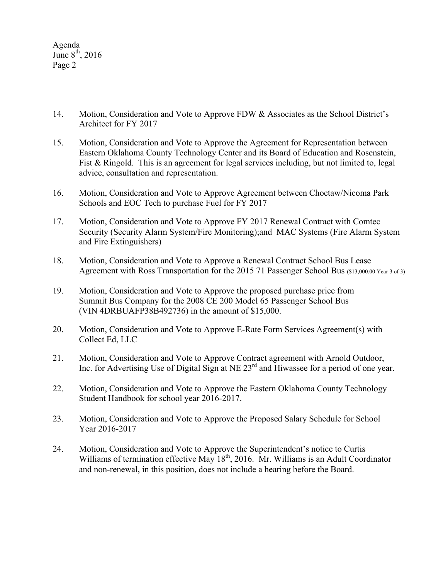Agenda June  $8<sup>th</sup>$ , 2016 Page 2

- 14. Motion, Consideration and Vote to Approve FDW & Associates as the School District's Architect for FY 2017
- 15. Motion, Consideration and Vote to Approve the Agreement for Representation between Eastern Oklahoma County Technology Center and its Board of Education and Rosenstein, Fist & Ringold. This is an agreement for legal services including, but not limited to, legal advice, consultation and representation.
- 16. Motion, Consideration and Vote to Approve Agreement between Choctaw/Nicoma Park Schools and EOC Tech to purchase Fuel for FY 2017
- 17. Motion, Consideration and Vote to Approve FY 2017 Renewal Contract with Comtec Security (Security Alarm System/Fire Monitoring);and MAC Systems (Fire Alarm System and Fire Extinguishers)
- 18. Motion, Consideration and Vote to Approve a Renewal Contract School Bus Lease Agreement with Ross Transportation for the 2015 71 Passenger School Bus (\$13,000.00 Year 3 of 3)
- 19. Motion, Consideration and Vote to Approve the proposed purchase price from Summit Bus Company for the 2008 CE 200 Model 65 Passenger School Bus (VIN 4DRBUAFP38B492736) in the amount of \$15,000.
- 20. Motion, Consideration and Vote to Approve E-Rate Form Services Agreement(s) with Collect Ed, LLC
- 21. Motion, Consideration and Vote to Approve Contract agreement with Arnold Outdoor, Inc. for Advertising Use of Digital Sign at NE 23<sup>rd</sup> and Hiwassee for a period of one year.
- 22. Motion, Consideration and Vote to Approve the Eastern Oklahoma County Technology Student Handbook for school year 2016-2017.
- 23. Motion, Consideration and Vote to Approve the Proposed Salary Schedule for School Year 2016-2017
- 24. Motion, Consideration and Vote to Approve the Superintendent's notice to Curtis Williams of termination effective May  $18<sup>th</sup>$ , 2016. Mr. Williams is an Adult Coordinator and non-renewal, in this position, does not include a hearing before the Board.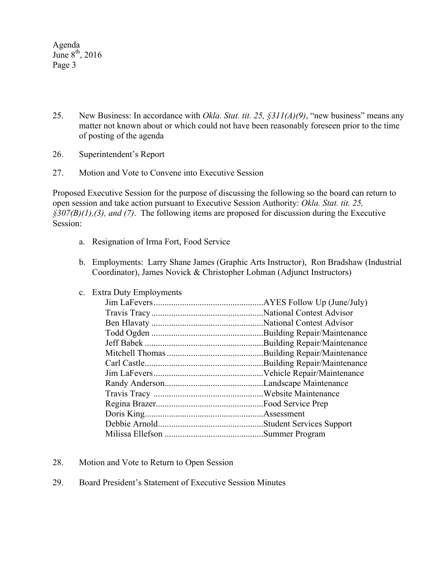Agenda June  $8<sup>th</sup>$ , 2016 Page 3

- 25. New Business: In accordance with *Okla. Stat. tit. 25, §311(A)(9)*, "new business" means any matter not known about or which could not have been reasonably foreseen prior to the time of posting of the agenda
- 26. Superintendent's Report
- 27. Motion and Vote to Convene into Executive Session

Proposed Executive Session for the purpose of discussing the following so the board can return to open session and take action pursuant to Executive Session Authority: *Okla. Stat. tit. 25, §307(B)(1),(3), and (7)*. The following items are proposed for discussion during the Executive Session:

- a. Resignation of Irma Fort, Food Service
- b. Employments: Larry Shane James (Graphic Arts Instructor), Ron Bradshaw (Industrial Coordinator), James Novick & Christopher Lohman (Adjunct Instructors)
	- Jim LaFevers..................................................AYES Follow Up (June/July) Travis Tracy...................................................National Contest Advisor Ben Hlavaty ...................................................National Contest Advisor Todd Ogden ...................................................Building Repair/Maintenance Jeff Babek ......................................................Building Repair/Maintenance Mitchell Thomas............................................Building Repair/Maintenance Carl Castle......................................................Building Repair/Maintenance Jim LaFevers..................................................Vehicle Repair/Maintenance Randy Anderson.............................................Landscape Maintenance Travis Tracy ..................................................Website Maintenance Regina Brazer.................................................Food Service Prep Doris King......................................................Assessment Debbie Arnold................................................Student Services Support Milissa Ellefson .............................................Summer Program
- c. Extra Duty Employments

- 28. Motion and Vote to Return to Open Session
- 29. Board President's Statement of Executive Session Minutes